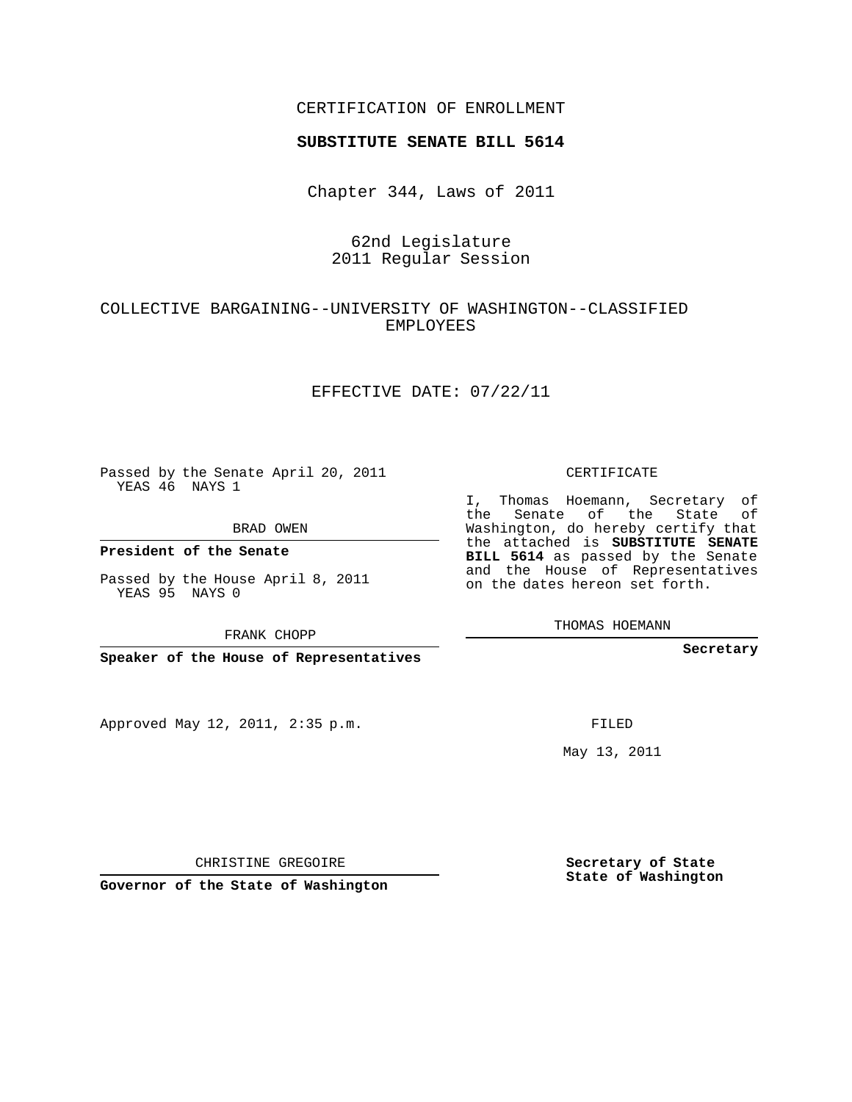## CERTIFICATION OF ENROLLMENT

#### **SUBSTITUTE SENATE BILL 5614**

Chapter 344, Laws of 2011

# 62nd Legislature 2011 Regular Session

# COLLECTIVE BARGAINING--UNIVERSITY OF WASHINGTON--CLASSIFIED EMPLOYEES

### EFFECTIVE DATE: 07/22/11

Passed by the Senate April 20, 2011 YEAS 46 NAYS 1

BRAD OWEN

YEAS 95 NAYS 0

**Speaker of the House of Representatives**

Approved May 12, 2011, 2:35 p.m.

CERTIFICATE

I, Thomas Hoemann, Secretary of the Senate of the State of Washington, do hereby certify that the attached is **SUBSTITUTE SENATE BILL 5614** as passed by the Senate and the House of Representatives on the dates hereon set forth.

THOMAS HOEMANN

**Secretary**

FILED

May 13, 2011

**Secretary of State State of Washington**

CHRISTINE GREGOIRE

**Governor of the State of Washington**

#### **President of the Senate**

Passed by the House April 8, 2011

FRANK CHOPP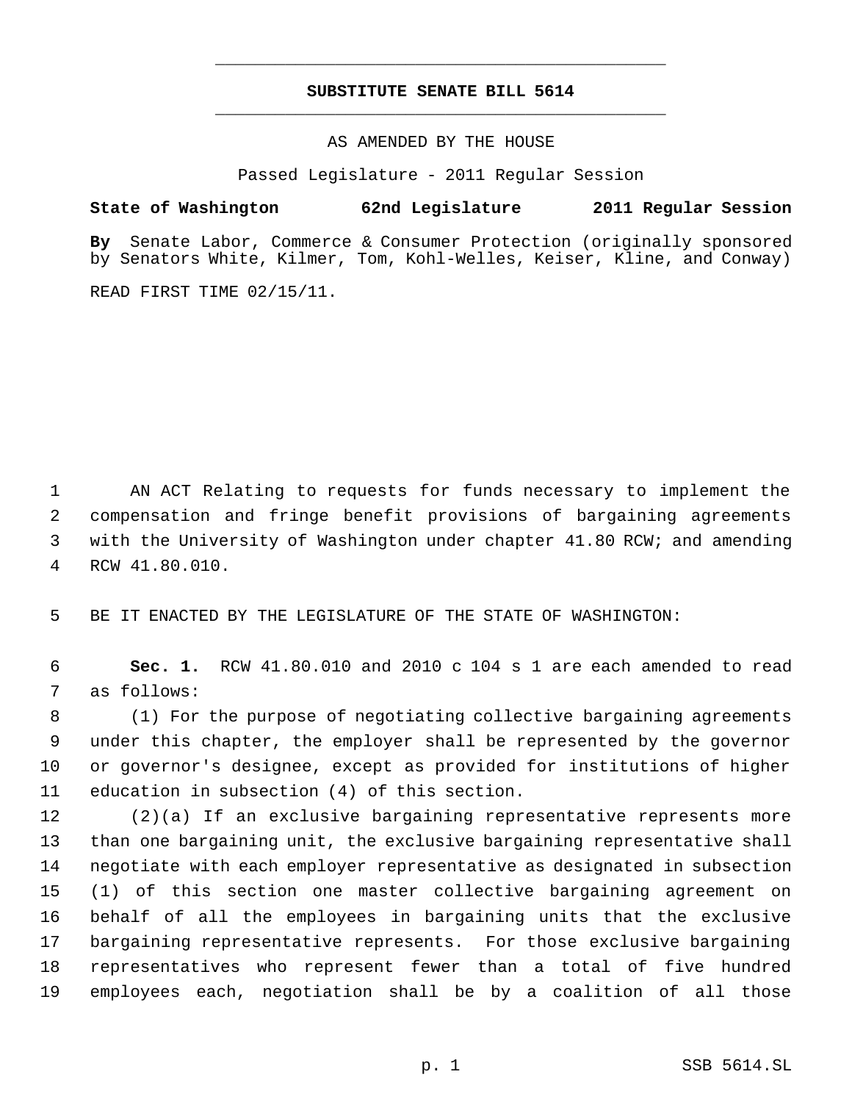# **SUBSTITUTE SENATE BILL 5614** \_\_\_\_\_\_\_\_\_\_\_\_\_\_\_\_\_\_\_\_\_\_\_\_\_\_\_\_\_\_\_\_\_\_\_\_\_\_\_\_\_\_\_\_\_

\_\_\_\_\_\_\_\_\_\_\_\_\_\_\_\_\_\_\_\_\_\_\_\_\_\_\_\_\_\_\_\_\_\_\_\_\_\_\_\_\_\_\_\_\_

AS AMENDED BY THE HOUSE

Passed Legislature - 2011 Regular Session

## **State of Washington 62nd Legislature 2011 Regular Session**

**By** Senate Labor, Commerce & Consumer Protection (originally sponsored by Senators White, Kilmer, Tom, Kohl-Welles, Keiser, Kline, and Conway)

READ FIRST TIME 02/15/11.

 AN ACT Relating to requests for funds necessary to implement the compensation and fringe benefit provisions of bargaining agreements with the University of Washington under chapter 41.80 RCW; and amending RCW 41.80.010.

BE IT ENACTED BY THE LEGISLATURE OF THE STATE OF WASHINGTON:

 **Sec. 1.** RCW 41.80.010 and 2010 c 104 s 1 are each amended to read as follows:

 (1) For the purpose of negotiating collective bargaining agreements under this chapter, the employer shall be represented by the governor or governor's designee, except as provided for institutions of higher education in subsection (4) of this section.

 (2)(a) If an exclusive bargaining representative represents more than one bargaining unit, the exclusive bargaining representative shall negotiate with each employer representative as designated in subsection (1) of this section one master collective bargaining agreement on behalf of all the employees in bargaining units that the exclusive bargaining representative represents. For those exclusive bargaining representatives who represent fewer than a total of five hundred employees each, negotiation shall be by a coalition of all those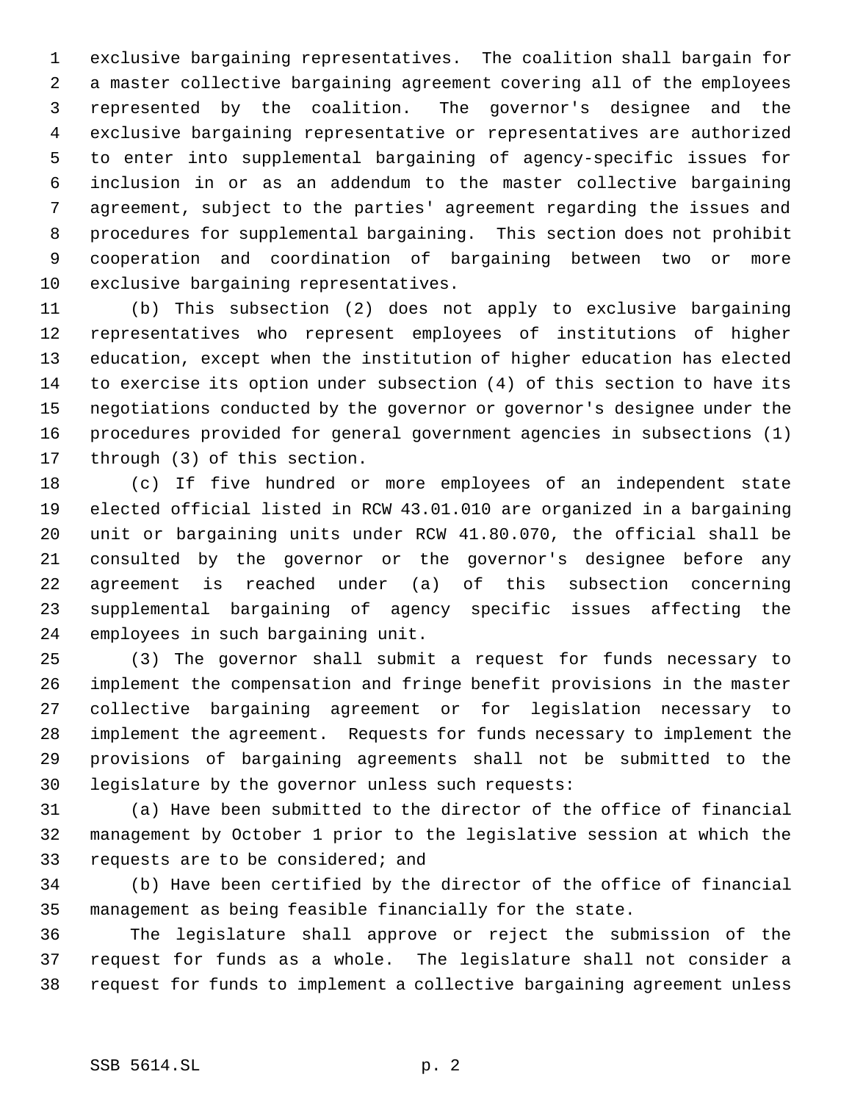exclusive bargaining representatives. The coalition shall bargain for a master collective bargaining agreement covering all of the employees represented by the coalition. The governor's designee and the exclusive bargaining representative or representatives are authorized to enter into supplemental bargaining of agency-specific issues for inclusion in or as an addendum to the master collective bargaining agreement, subject to the parties' agreement regarding the issues and procedures for supplemental bargaining. This section does not prohibit cooperation and coordination of bargaining between two or more exclusive bargaining representatives.

 (b) This subsection (2) does not apply to exclusive bargaining representatives who represent employees of institutions of higher education, except when the institution of higher education has elected to exercise its option under subsection (4) of this section to have its negotiations conducted by the governor or governor's designee under the procedures provided for general government agencies in subsections (1) through (3) of this section.

 (c) If five hundred or more employees of an independent state elected official listed in RCW 43.01.010 are organized in a bargaining unit or bargaining units under RCW 41.80.070, the official shall be consulted by the governor or the governor's designee before any agreement is reached under (a) of this subsection concerning supplemental bargaining of agency specific issues affecting the employees in such bargaining unit.

 (3) The governor shall submit a request for funds necessary to implement the compensation and fringe benefit provisions in the master collective bargaining agreement or for legislation necessary to implement the agreement. Requests for funds necessary to implement the provisions of bargaining agreements shall not be submitted to the legislature by the governor unless such requests:

 (a) Have been submitted to the director of the office of financial management by October 1 prior to the legislative session at which the requests are to be considered; and

 (b) Have been certified by the director of the office of financial management as being feasible financially for the state.

 The legislature shall approve or reject the submission of the request for funds as a whole. The legislature shall not consider a request for funds to implement a collective bargaining agreement unless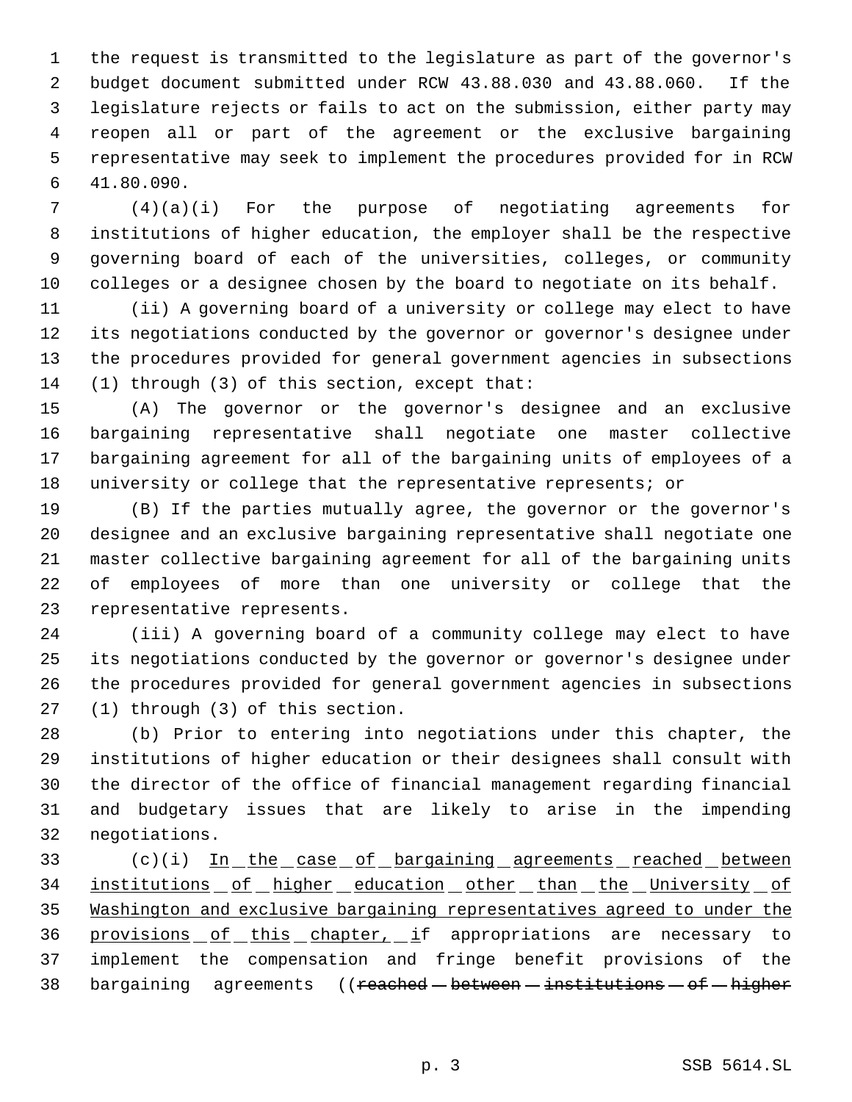the request is transmitted to the legislature as part of the governor's budget document submitted under RCW 43.88.030 and 43.88.060. If the legislature rejects or fails to act on the submission, either party may reopen all or part of the agreement or the exclusive bargaining representative may seek to implement the procedures provided for in RCW 41.80.090.

 (4)(a)(i) For the purpose of negotiating agreements for institutions of higher education, the employer shall be the respective governing board of each of the universities, colleges, or community colleges or a designee chosen by the board to negotiate on its behalf.

 (ii) A governing board of a university or college may elect to have its negotiations conducted by the governor or governor's designee under the procedures provided for general government agencies in subsections (1) through (3) of this section, except that:

 (A) The governor or the governor's designee and an exclusive bargaining representative shall negotiate one master collective bargaining agreement for all of the bargaining units of employees of a university or college that the representative represents; or

 (B) If the parties mutually agree, the governor or the governor's designee and an exclusive bargaining representative shall negotiate one master collective bargaining agreement for all of the bargaining units of employees of more than one university or college that the representative represents.

 (iii) A governing board of a community college may elect to have its negotiations conducted by the governor or governor's designee under the procedures provided for general government agencies in subsections (1) through (3) of this section.

 (b) Prior to entering into negotiations under this chapter, the institutions of higher education or their designees shall consult with the director of the office of financial management regarding financial and budgetary issues that are likely to arise in the impending negotiations.

33 (c)(i) In the case of bargaining agreements reached between 34 institutions of higher education other than the University of Washington and exclusive bargaining representatives agreed to under the provisions of this chapter, if appropriations are necessary to implement the compensation and fringe benefit provisions of the 38 bargaining agreements ((reached - between - institutions - of - higher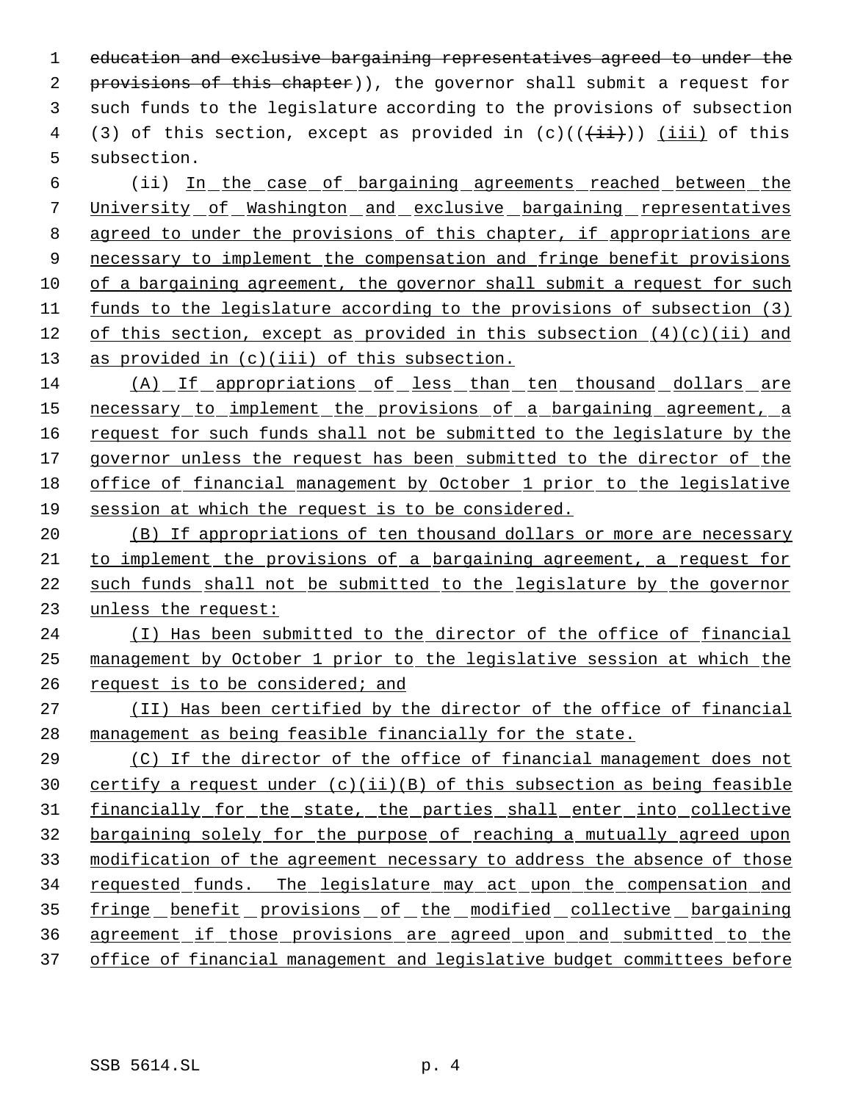education and exclusive bargaining representatives agreed to under the 2 provisions of this chapter)), the governor shall submit a request for such funds to the legislature according to the provisions of subsection 4 (3) of this section, except as provided in  $(c)((\overrightarrow{ii}))$  (iii) of this subsection.

6 (ii) In the case of bargaining agreements reached between the University of Washington and exclusive bargaining representatives agreed to under the provisions of this chapter, if appropriations are 9 necessary to implement the compensation and fringe benefit provisions of a bargaining agreement, the governor shall submit a request for such funds to the legislature according to the provisions of subsection (3) 12 of this section, except as provided in this subsection  $(4)(c)(ii)$  and as provided in (c)(iii) of this subsection.

 (A) If appropriations of less than ten thousand dollars are 15 necessary to implement the provisions of a bargaining agreement, a request for such funds shall not be submitted to the legislature by the 17 governor unless the request has been submitted to the director of the office of financial management by October 1 prior to the legislative session at which the request is to be considered.

 (B) If appropriations of ten thousand dollars or more are necessary to implement the provisions of a bargaining agreement, a request for such funds shall not be submitted to the legislature by the governor unless the request:

24 (I) Has been submitted to the director of the office of financial management by October 1 prior to the legislative session at which the request is to be considered; and

 (II) Has been certified by the director of the office of financial management as being feasible financially for the state.

 (C) If the director of the office of financial management does not certify a request under (c)(ii)(B) of this subsection as being feasible financially for the state, the parties shall enter into collective bargaining solely for the purpose of reaching a mutually agreed upon modification of the agreement necessary to address the absence of those requested funds. The legislature may act upon the compensation and 35 fringe benefit provisions of the modified collective bargaining agreement if those provisions are agreed upon and submitted to the office of financial management and legislative budget committees before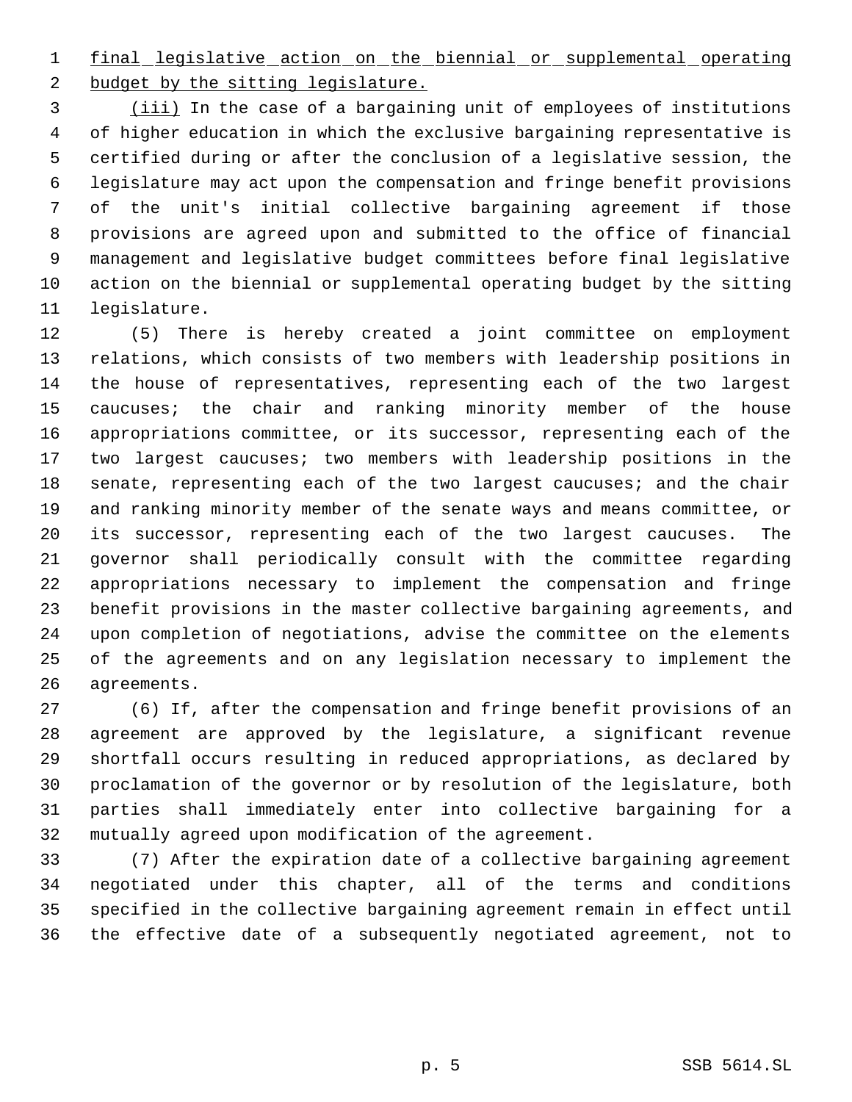final legislative action on the biennial or supplemental operating 2 budget by the sitting legislature.

 (iii) In the case of a bargaining unit of employees of institutions of higher education in which the exclusive bargaining representative is certified during or after the conclusion of a legislative session, the legislature may act upon the compensation and fringe benefit provisions of the unit's initial collective bargaining agreement if those provisions are agreed upon and submitted to the office of financial management and legislative budget committees before final legislative action on the biennial or supplemental operating budget by the sitting legislature.

 (5) There is hereby created a joint committee on employment relations, which consists of two members with leadership positions in the house of representatives, representing each of the two largest caucuses; the chair and ranking minority member of the house appropriations committee, or its successor, representing each of the two largest caucuses; two members with leadership positions in the senate, representing each of the two largest caucuses; and the chair and ranking minority member of the senate ways and means committee, or its successor, representing each of the two largest caucuses. The governor shall periodically consult with the committee regarding appropriations necessary to implement the compensation and fringe benefit provisions in the master collective bargaining agreements, and upon completion of negotiations, advise the committee on the elements of the agreements and on any legislation necessary to implement the agreements.

 (6) If, after the compensation and fringe benefit provisions of an agreement are approved by the legislature, a significant revenue shortfall occurs resulting in reduced appropriations, as declared by proclamation of the governor or by resolution of the legislature, both parties shall immediately enter into collective bargaining for a mutually agreed upon modification of the agreement.

 (7) After the expiration date of a collective bargaining agreement negotiated under this chapter, all of the terms and conditions specified in the collective bargaining agreement remain in effect until the effective date of a subsequently negotiated agreement, not to